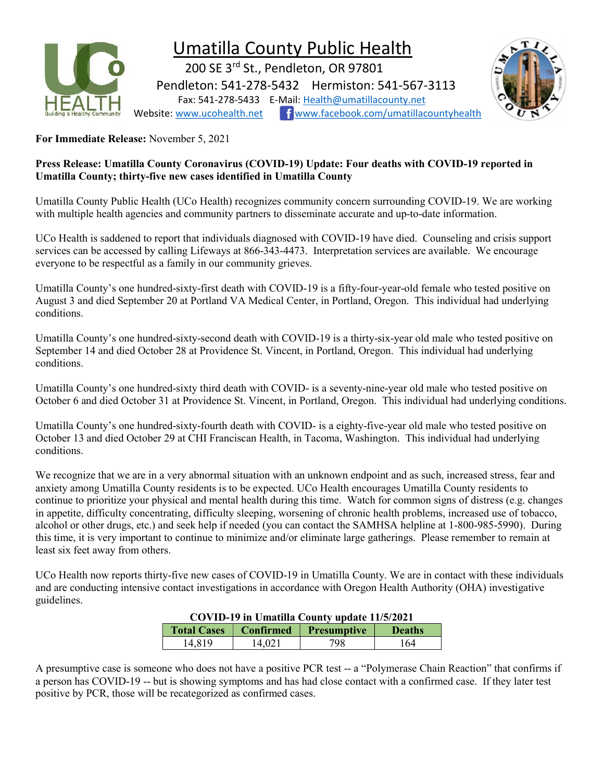

## Umatilla County Public Health

 200 SE 3rd St., Pendleton, OR 97801 Pendleton: 541-278-5432 Hermiston: 541-567-3113 Fax: 541-278-5433 E-Mail: Health@umatillacounty.net Website: www.ucohealth.net www.facebook.com/umatillacountyhealth



For Immediate Release: November 5, 2021

## Press Release: Umatilla County Coronavirus (COVID-19) Update: Four deaths with COVID-19 reported in Umatilla County; thirty-five new cases identified in Umatilla County

Umatilla County Public Health (UCo Health) recognizes community concern surrounding COVID-19. We are working with multiple health agencies and community partners to disseminate accurate and up-to-date information.

UCo Health is saddened to report that individuals diagnosed with COVID-19 have died. Counseling and crisis support services can be accessed by calling Lifeways at 866-343-4473. Interpretation services are available. We encourage everyone to be respectful as a family in our community grieves.

Umatilla County's one hundred-sixty-first death with COVID-19 is a fifty-four-year-old female who tested positive on August 3 and died September 20 at Portland VA Medical Center, in Portland, Oregon. This individual had underlying conditions.

Umatilla County's one hundred-sixty-second death with COVID-19 is a thirty-six-year old male who tested positive on September 14 and died October 28 at Providence St. Vincent, in Portland, Oregon. This individual had underlying conditions.

Umatilla County's one hundred-sixty third death with COVID- is a seventy-nine-year old male who tested positive on October 6 and died October 31 at Providence St. Vincent, in Portland, Oregon. This individual had underlying conditions.

Umatilla County's one hundred-sixty-fourth death with COVID- is a eighty-five-year old male who tested positive on October 13 and died October 29 at CHI Franciscan Health, in Tacoma, Washington. This individual had underlying conditions.

We recognize that we are in a very abnormal situation with an unknown endpoint and as such, increased stress, fear and anxiety among Umatilla County residents is to be expected. UCo Health encourages Umatilla County residents to continue to prioritize your physical and mental health during this time. Watch for common signs of distress (e.g. changes in appetite, difficulty concentrating, difficulty sleeping, worsening of chronic health problems, increased use of tobacco, alcohol or other drugs, etc.) and seek help if needed (you can contact the SAMHSA helpline at 1-800-985-5990). During this time, it is very important to continue to minimize and/or eliminate large gatherings. Please remember to remain at least six feet away from others.

UCo Health now reports thirty-five new cases of COVID-19 in Umatilla County. We are in contact with these individuals and are conducting intensive contact investigations in accordance with Oregon Health Authority (OHA) investigative guidelines.

| COVID-19 in Umatilla County update 11/5/2021 |        |                       |               |  |  |
|----------------------------------------------|--------|-----------------------|---------------|--|--|
| <b>Total Cases</b>                           |        | Confirmed Presumptive | <b>Deaths</b> |  |  |
| 14.819                                       | 14.021 | 798                   | 164           |  |  |

COVID-19 in Umatilla County update 11/5/2021

A presumptive case is someone who does not have a positive PCR test -- a "Polymerase Chain Reaction" that confirms if a person has COVID-19 -- but is showing symptoms and has had close contact with a confirmed case. If they later test positive by PCR, those will be recategorized as confirmed cases.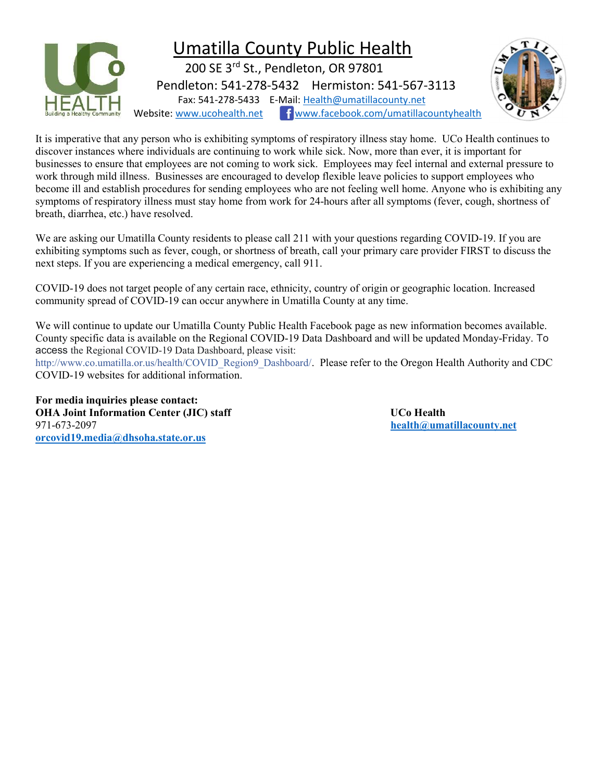

It is imperative that any person who is exhibiting symptoms of respiratory illness stay home. UCo Health continues to discover instances where individuals are continuing to work while sick. Now, more than ever, it is important for businesses to ensure that employees are not coming to work sick. Employees may feel internal and external pressure to work through mild illness. Businesses are encouraged to develop flexible leave policies to support employees who become ill and establish procedures for sending employees who are not feeling well home. Anyone who is exhibiting any symptoms of respiratory illness must stay home from work for 24-hours after all symptoms (fever, cough, shortness of breath, diarrhea, etc.) have resolved.

We are asking our Umatilla County residents to please call 211 with your questions regarding COVID-19. If you are exhibiting symptoms such as fever, cough, or shortness of breath, call your primary care provider FIRST to discuss the next steps. If you are experiencing a medical emergency, call 911.

COVID-19 does not target people of any certain race, ethnicity, country of origin or geographic location. Increased community spread of COVID-19 can occur anywhere in Umatilla County at any time.

We will continue to update our Umatilla County Public Health Facebook page as new information becomes available. County specific data is available on the Regional COVID-19 Data Dashboard and will be updated Monday-Friday. To access the Regional COVID-19 Data Dashboard, please visit:

http://www.co.umatilla.or.us/health/COVID\_Region9\_Dashboard/. Please refer to the Oregon Health Authority and CDC COVID-19 websites for additional information.

For media inquiries please contact: OHA Joint Information Center (JIC) staff States and Dubble UCo Health 971-673-2097 health@umatillacounty.net orcovid19.media@dhsoha.state.or.us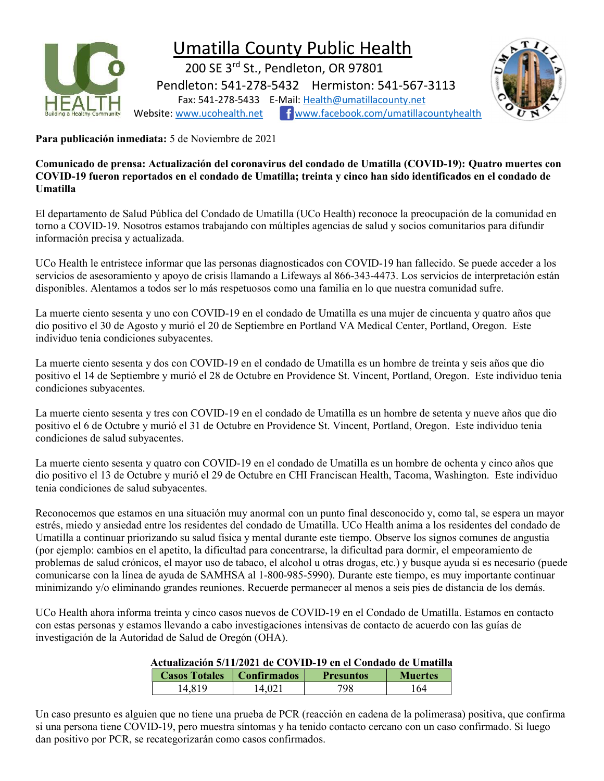

## Umatilla County Public Health

 200 SE 3rd St., Pendleton, OR 97801 Pendleton: 541-278-5432 Hermiston: 541-567-3113 Fax: 541-278-5433 E-Mail: Health@umatillacounty.net Website: www.ucohealth.net Fwww.facebook.com/umatillacountyhealth



Para publicación inmediata: 5 de Noviembre de 2021

Comunicado de prensa: Actualización del coronavirus del condado de Umatilla (COVID-19): Quatro muertes con COVID-19 fueron reportados en el condado de Umatilla; treinta y cinco han sido identificados en el condado de Umatilla

El departamento de Salud Pública del Condado de Umatilla (UCo Health) reconoce la preocupación de la comunidad en torno a COVID-19. Nosotros estamos trabajando con múltiples agencias de salud y socios comunitarios para difundir información precisa y actualizada.

UCo Health le entristece informar que las personas diagnosticados con COVID-19 han fallecido. Se puede acceder a los servicios de asesoramiento y apoyo de crisis llamando a Lifeways al 866-343-4473. Los servicios de interpretación están disponibles. Alentamos a todos ser lo más respetuosos como una familia en lo que nuestra comunidad sufre.

La muerte ciento sesenta y uno con COVID-19 en el condado de Umatilla es una mujer de cincuenta y quatro años que dio positivo el 30 de Agosto y murió el 20 de Septiembre en Portland VA Medical Center, Portland, Oregon. Este individuo tenia condiciones subyacentes.

La muerte ciento sesenta y dos con COVID-19 en el condado de Umatilla es un hombre de treinta y seis años que dio positivo el 14 de Septiembre y murió el 28 de Octubre en Providence St. Vincent, Portland, Oregon. Este individuo tenia condiciones subyacentes.

La muerte ciento sesenta y tres con COVID-19 en el condado de Umatilla es un hombre de setenta y nueve años que dio positivo el 6 de Octubre y murió el 31 de Octubre en Providence St. Vincent, Portland, Oregon. Este individuo tenia condiciones de salud subyacentes.

La muerte ciento sesenta y quatro con COVID-19 en el condado de Umatilla es un hombre de ochenta y cinco años que dio positivo el 13 de Octubre y murió el 29 de Octubre en CHI Franciscan Health, Tacoma, Washington. Este individuo tenia condiciones de salud subyacentes.

Reconocemos que estamos en una situación muy anormal con un punto final desconocido y, como tal, se espera un mayor estrés, miedo y ansiedad entre los residentes del condado de Umatilla. UCo Health anima a los residentes del condado de Umatilla a continuar priorizando su salud física y mental durante este tiempo. Observe los signos comunes de angustia (por ejemplo: cambios en el apetito, la dificultad para concentrarse, la dificultad para dormir, el empeoramiento de problemas de salud crónicos, el mayor uso de tabaco, el alcohol u otras drogas, etc.) y busque ayuda si es necesario (puede comunicarse con la línea de ayuda de SAMHSA al 1-800-985-5990). Durante este tiempo, es muy importante continuar minimizando y/o eliminando grandes reuniones. Recuerde permanecer al menos a seis pies de distancia de los demás.

UCo Health ahora informa treinta y cinco casos nuevos de COVID-19 en el Condado de Umatilla. Estamos en contacto con estas personas y estamos llevando a cabo investigaciones intensivas de contacto de acuerdo con las guías de investigación de la Autoridad de Salud de Oregón (OHA).

## Actualización 5/11/2021 de COVID-19 en el Condado de Umatilla

| <b>Casos Totales</b> | Confirmados | <b>Presuntos</b> | <b>Muertes</b> |
|----------------------|-------------|------------------|----------------|
| 4819                 | 4.021       | 798              | 64             |

Un caso presunto es alguien que no tiene una prueba de PCR (reacción en cadena de la polimerasa) positiva, que confirma si una persona tiene COVID-19, pero muestra síntomas y ha tenido contacto cercano con un caso confirmado. Si luego dan positivo por PCR, se recategorizarán como casos confirmados.